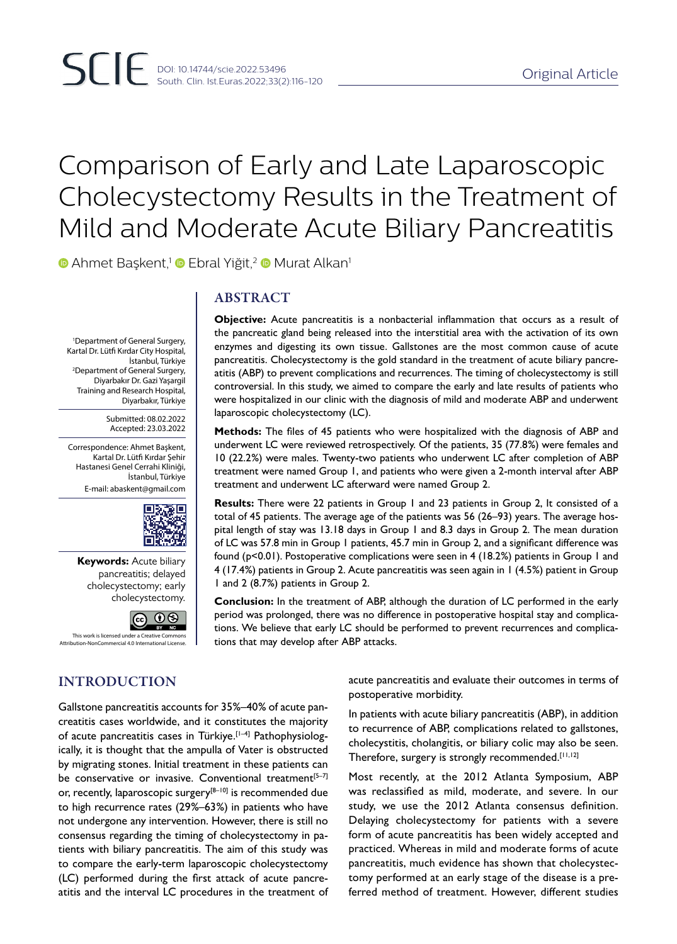# Comparison of Early and Late Laparoscopic Cholecystectomy Results in the Treatment of Mild and Moderate Acute Biliary Pancreatitis

**• Ahmet Başkent,<sup>1</sup> • Ebral Yiğit,<sup>2</sup> • Murat Alkan<sup>1</sup>** 

1 Department of General Surgery, Kartal Dr. Lütfi Kırdar City Hospital, İstanbul, Türkiye 2 Department of General Surgery, Diyarbakır Dr. Gazi Yaşargil Training and Research Hospital, Diyarbakır, Türkiye

> Submitted: 08.02.2022 Accepted: 23.03.2022

Correspondence: Ahmet Başkent, Kartal Dr. Lütfi Kırdar Şehir Hastanesi Genel Cerrahi Kliniği, İstanbul, Türkiye E-mail: abaskent@gmail.com



**Keywords:** Acute biliary pancreatitis; delayed cholecystectomy; early cholecystectomy.



This work is licensed under a Creative Commons Attribution-NonCommercial 4.0 International License.

# INTRODUCTION

ABSTRACT

**Objective:** Acute pancreatitis is a nonbacterial inflammation that occurs as a result of the pancreatic gland being released into the interstitial area with the activation of its own enzymes and digesting its own tissue. Gallstones are the most common cause of acute pancreatitis. Cholecystectomy is the gold standard in the treatment of acute biliary pancreatitis (ABP) to prevent complications and recurrences. The timing of cholecystectomy is still controversial. In this study, we aimed to compare the early and late results of patients who were hospitalized in our clinic with the diagnosis of mild and moderate ABP and underwent laparoscopic cholecystectomy (LC).

**Methods:** The files of 45 patients who were hospitalized with the diagnosis of ABP and underwent LC were reviewed retrospectively. Of the patients, 35 (77.8%) were females and 10 (22.2%) were males. Twenty-two patients who underwent LC after completion of ABP treatment were named Group 1, and patients who were given a 2-month interval after ABP treatment and underwent LC afterward were named Group 2.

**Results:** There were 22 patients in Group 1 and 23 patients in Group 2, It consisted of a total of 45 patients. The average age of the patients was 56 (26–93) years. The average hospital length of stay was 13.18 days in Group 1 and 8.3 days in Group 2. The mean duration of LC was 57.8 min in Group 1 patients, 45.7 min in Group 2, and a significant difference was found (p<0.01). Postoperative complications were seen in 4 (18.2%) patients in Group 1 and 4 (17.4%) patients in Group 2. Acute pancreatitis was seen again in 1 (4.5%) patient in Group 1 and 2 (8.7%) patients in Group 2.

**Conclusion:** In the treatment of ABP, although the duration of LC performed in the early period was prolonged, there was no difference in postoperative hospital stay and complications. We believe that early LC should be performed to prevent recurrences and complications that may develop after ABP attacks.

> acute pancreatitis and evaluate their outcomes in terms of postoperative morbidity.

Gallstone pancreatitis accounts for 35%–40% of acute pancreatitis cases worldwide, and it constitutes the majority of acute pancreatitis cases in Türkiye.<sup>[1-4]</sup> Pathophysiologically, it is thought that the ampulla of Vater is obstructed by migrating stones. Initial treatment in these patients can be conservative or invasive. Conventional treatment<sup>[5-7]</sup> or, recently, laparoscopic surgery<sup>[8–10]</sup> is recommended due to high recurrence rates (29%–63%) in patients who have not undergone any intervention. However, there is still no consensus regarding the timing of cholecystectomy in patients with biliary pancreatitis. The aim of this study was to compare the early-term laparoscopic cholecystectomy (LC) performed during the first attack of acute pancreatitis and the interval LC procedures in the treatment of

In patients with acute biliary pancreatitis (ABP), in addition to recurrence of ABP, complications related to gallstones, cholecystitis, cholangitis, or biliary colic may also be seen. Therefore, surgery is strongly recommended.[11,12]

Most recently, at the 2012 Atlanta Symposium, ABP was reclassified as mild, moderate, and severe. In our study, we use the 2012 Atlanta consensus definition. Delaying cholecystectomy for patients with a severe form of acute pancreatitis has been widely accepted and practiced. Whereas in mild and moderate forms of acute pancreatitis, much evidence has shown that cholecystectomy performed at an early stage of the disease is a preferred method of treatment. However, different studies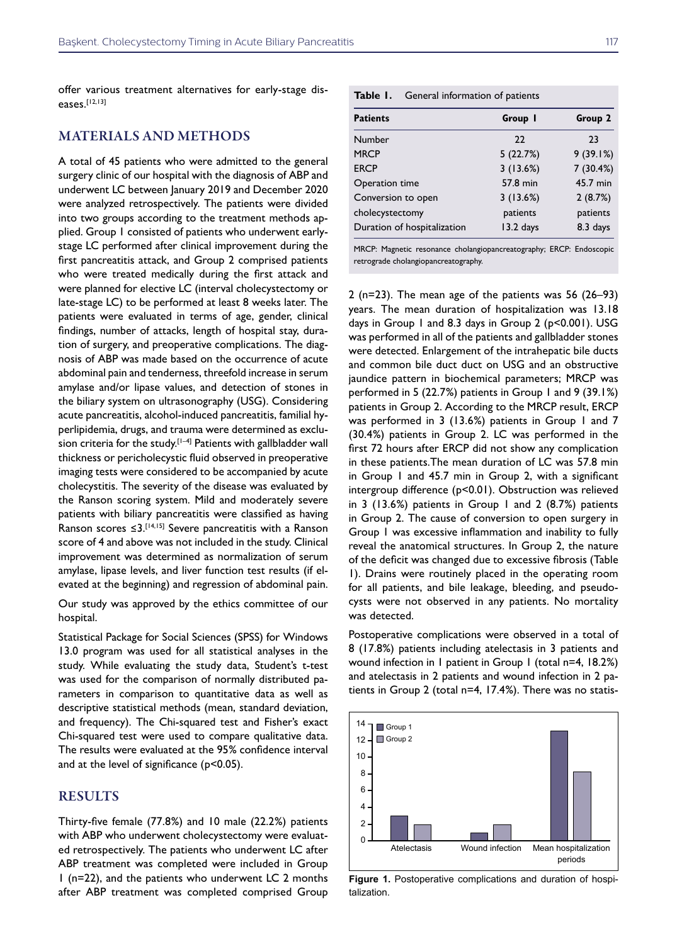offer various treatment alternatives for early-stage diseases.[12,13]

## MATERIALS AND METHODS

A total of 45 patients who were admitted to the general surgery clinic of our hospital with the diagnosis of ABP and underwent LC between January 2019 and December 2020 were analyzed retrospectively. The patients were divided into two groups according to the treatment methods applied. Group 1 consisted of patients who underwent earlystage LC performed after clinical improvement during the first pancreatitis attack, and Group 2 comprised patients who were treated medically during the first attack and were planned for elective LC (interval cholecystectomy or late-stage LC) to be performed at least 8 weeks later. The patients were evaluated in terms of age, gender, clinical findings, number of attacks, length of hospital stay, duration of surgery, and preoperative complications. The diagnosis of ABP was made based on the occurrence of acute abdominal pain and tenderness, threefold increase in serum amylase and/or lipase values, and detection of stones in the biliary system on ultrasonography (USG). Considering acute pancreatitis, alcohol-induced pancreatitis, familial hyperlipidemia, drugs, and trauma were determined as exclusion criteria for the study.<sup>[1-4]</sup> Patients with gallbladder wall thickness or pericholecystic fluid observed in preoperative imaging tests were considered to be accompanied by acute cholecystitis. The severity of the disease was evaluated by the Ranson scoring system. Mild and moderately severe patients with biliary pancreatitis were classified as having Ranson scores  $\leq 3$ .<sup>[14,15]</sup> Severe pancreatitis with a Ranson score of 4 and above was not included in the study. Clinical improvement was determined as normalization of serum amylase, lipase levels, and liver function test results (if elevated at the beginning) and regression of abdominal pain.

Our study was approved by the ethics committee of our hospital.

Statistical Package for Social Sciences (SPSS) for Windows 13.0 program was used for all statistical analyses in the study. While evaluating the study data, Student's t-test was used for the comparison of normally distributed parameters in comparison to quantitative data as well as descriptive statistical methods (mean, standard deviation, and frequency). The Chi-squared test and Fisher's exact Chi-squared test were used to compare qualitative data. The results were evaluated at the 95% confidence interval and at the level of significance (p<0.05).

## RESULTS

Thirty-five female (77.8%) and 10 male (22.2%) patients with ABP who underwent cholecystectomy were evaluated retrospectively. The patients who underwent LC after ABP treatment was completed were included in Group 1 (n=22), and the patients who underwent LC 2 months after ABP treatment was completed comprised Group

| Table I. | General information of patients |  |
|----------|---------------------------------|--|
|----------|---------------------------------|--|

| <b>Patients</b>             | Group 1   | Group 2  |
|-----------------------------|-----------|----------|
| Number                      | 22        | 23       |
| <b>MRCP</b>                 | 5(22.7%)  | 9(39.1%) |
| <b>ERCP</b>                 | 3(13.6%)  | 7(30.4%) |
| Operation time              | 57.8 min  | 45.7 min |
| Conversion to open          | 3(13.6%)  | 2(8.7%)  |
| cholecystectomy             | patients  | patients |
| Duration of hospitalization | 13.2 days | 8.3 days |
|                             |           |          |

MRCP: Magnetic resonance cholangiopancreatography; ERCP: Endoscopic retrograde cholangiopancreatography.

2 (n=23). The mean age of the patients was 56 (26–93) years. The mean duration of hospitalization was 13.18 days in Group 1 and 8.3 days in Group 2 (p<0.001). USG was performed in all of the patients and gallbladder stones were detected. Enlargement of the intrahepatic bile ducts and common bile duct duct on USG and an obstructive jaundice pattern in biochemical parameters; MRCP was performed in 5 (22.7%) patients in Group 1 and 9 (39.1%) patients in Group 2. According to the MRCP result, ERCP was performed in 3 (13.6%) patients in Group 1 and 7 (30.4%) patients in Group 2. LC was performed in the first 72 hours after ERCP did not show any complication in these patients.The mean duration of LC was 57.8 min in Group 1 and 45.7 min in Group 2, with a significant intergroup difference (p<0.01). Obstruction was relieved in 3 (13.6%) patients in Group 1 and 2 (8.7%) patients in Group 2. The cause of conversion to open surgery in Group 1 was excessive inflammation and inability to fully reveal the anatomical structures. In Group 2, the nature of the deficit was changed due to excessive fibrosis (Table 1). Drains were routinely placed in the operating room for all patients, and bile leakage, bleeding, and pseudocysts were not observed in any patients. No mortality was detected.

Postoperative complications were observed in a total of 8 (17.8%) patients including atelectasis in 3 patients and wound infection in 1 patient in Group 1 (total n=4, 18.2%) and atelectasis in 2 patients and wound infection in 2 patients in Group 2 (total n=4, 17.4%). There was no statis-



**Figure 1.** Postoperative complications and duration of hospitalization.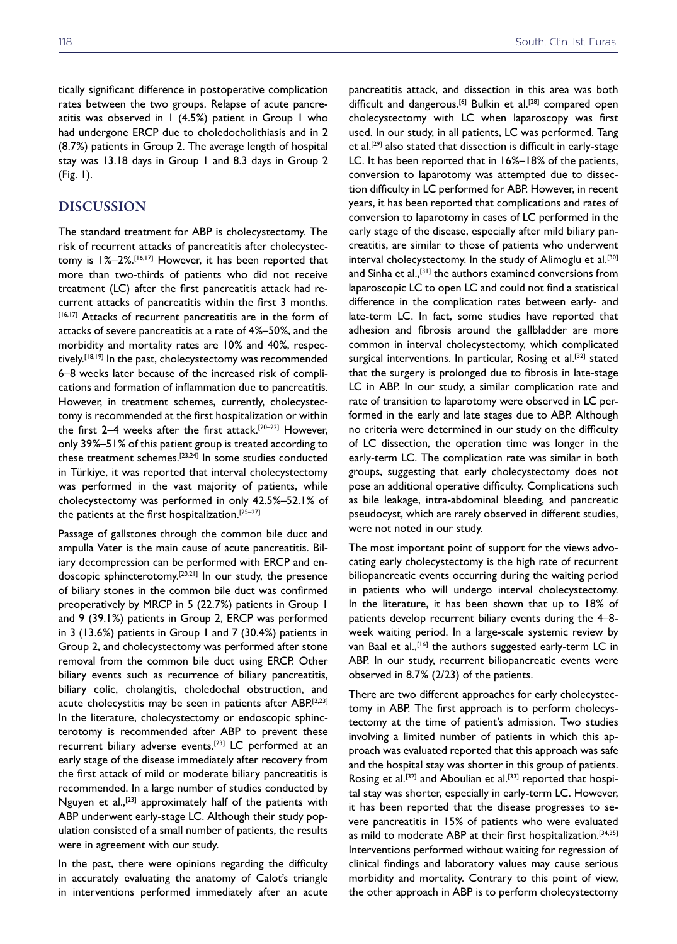tically significant difference in postoperative complication rates between the two groups. Relapse of acute pancreatitis was observed in  $1$  (4.5%) patient in Group  $1$  who had undergone ERCP due to choledocholithiasis and in 2 (8.7%) patients in Group 2. The average length of hospital stay was 13.18 days in Group 1 and 8.3 days in Group 2 (Fig. 1).

## DISCUSSION

The standard treatment for ABP is cholecystectomy. The risk of recurrent attacks of pancreatitis after cholecystectomy is 1%–2%.[16,17] However, it has been reported that more than two-thirds of patients who did not receive treatment (LC) after the first pancreatitis attack had recurrent attacks of pancreatitis within the first 3 months. [16,17] Attacks of recurrent pancreatitis are in the form of attacks of severe pancreatitis at a rate of 4%–50%, and the morbidity and mortality rates are 10% and 40%, respectively.<sup>[18,19]</sup> In the past, cholecystectomy was recommended 6–8 weeks later because of the increased risk of complications and formation of inflammation due to pancreatitis. However, in treatment schemes, currently, cholecystectomy is recommended at the first hospitalization or within the first 2–4 weeks after the first attack.[20–22] However, only 39%–51% of this patient group is treated according to these treatment schemes.[23,24] In some studies conducted in Türkiye, it was reported that interval cholecystectomy was performed in the vast majority of patients, while cholecystectomy was performed in only 42.5%–52.1% of the patients at the first hospitalization.<sup>[25-27]</sup>

Passage of gallstones through the common bile duct and ampulla Vater is the main cause of acute pancreatitis. Biliary decompression can be performed with ERCP and endoscopic sphincterotomy.[20,21] In our study, the presence of biliary stones in the common bile duct was confirmed preoperatively by MRCP in 5 (22.7%) patients in Group 1 and 9 (39.1%) patients in Group 2, ERCP was performed in 3 (13.6%) patients in Group 1 and 7 (30.4%) patients in Group 2, and cholecystectomy was performed after stone removal from the common bile duct using ERCP. Other biliary events such as recurrence of biliary pancreatitis, biliary colic, cholangitis, choledochal obstruction, and acute cholecystitis may be seen in patients after ABP.[2,23] In the literature, cholecystectomy or endoscopic sphincterotomy is recommended after ABP to prevent these recurrent biliary adverse events.<sup>[23]</sup> LC performed at an early stage of the disease immediately after recovery from the first attack of mild or moderate biliary pancreatitis is recommended. In a large number of studies conducted by Nguyen et al.,[23] approximately half of the patients with ABP underwent early-stage LC. Although their study population consisted of a small number of patients, the results were in agreement with our study.

In the past, there were opinions regarding the difficulty in accurately evaluating the anatomy of Calot's triangle in interventions performed immediately after an acute

pancreatitis attack, and dissection in this area was both difficult and dangerous.<sup>[6]</sup> Bulkin et al.<sup>[28]</sup> compared open cholecystectomy with LC when laparoscopy was first used. In our study, in all patients, LC was performed. Tang et al.<sup>[29]</sup> also stated that dissection is difficult in early-stage LC. It has been reported that in 16%–18% of the patients, conversion to laparotomy was attempted due to dissection difficulty in LC performed for ABP. However, in recent years, it has been reported that complications and rates of conversion to laparotomy in cases of LC performed in the early stage of the disease, especially after mild biliary pancreatitis, are similar to those of patients who underwent interval cholecystectomy. In the study of Alimoglu et al.<sup>[30]</sup> and Sinha et al.<sup>[31]</sup> the authors examined conversions from laparoscopic LC to open LC and could not find a statistical difference in the complication rates between early- and late-term LC. In fact, some studies have reported that adhesion and fibrosis around the gallbladder are more common in interval cholecystectomy, which complicated surgical interventions. In particular, Rosing et al.<sup>[32]</sup> stated that the surgery is prolonged due to fibrosis in late-stage LC in ABP. In our study, a similar complication rate and rate of transition to laparotomy were observed in LC performed in the early and late stages due to ABP. Although no criteria were determined in our study on the difficulty of LC dissection, the operation time was longer in the early-term LC. The complication rate was similar in both groups, suggesting that early cholecystectomy does not pose an additional operative difficulty. Complications such as bile leakage, intra-abdominal bleeding, and pancreatic pseudocyst, which are rarely observed in different studies, were not noted in our study.

The most important point of support for the views advocating early cholecystectomy is the high rate of recurrent biliopancreatic events occurring during the waiting period in patients who will undergo interval cholecystectomy. In the literature, it has been shown that up to 18% of patients develop recurrent biliary events during the 4–8 week waiting period. In a large-scale systemic review by van Baal et al., [16] the authors suggested early-term LC in ABP. In our study, recurrent biliopancreatic events were observed in 8.7% (2/23) of the patients.

There are two different approaches for early cholecystectomy in ABP. The first approach is to perform cholecystectomy at the time of patient's admission. Two studies involving a limited number of patients in which this approach was evaluated reported that this approach was safe and the hospital stay was shorter in this group of patients. Rosing et al.<sup>[32]</sup> and Aboulian et al.<sup>[33]</sup> reported that hospital stay was shorter, especially in early-term LC. However, it has been reported that the disease progresses to severe pancreatitis in 15% of patients who were evaluated as mild to moderate ABP at their first hospitalization.<sup>[34,35]</sup> Interventions performed without waiting for regression of clinical findings and laboratory values may cause serious morbidity and mortality. Contrary to this point of view, the other approach in ABP is to perform cholecystectomy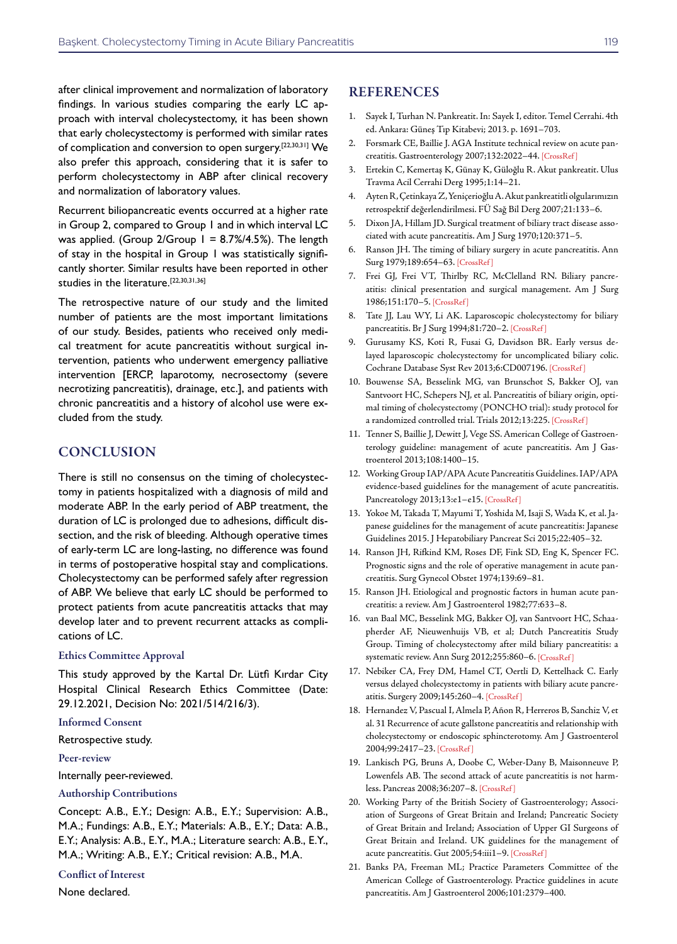after clinical improvement and normalization of laboratory findings. In various studies comparing the early LC approach with interval cholecystectomy, it has been shown that early cholecystectomy is performed with similar rates of complication and conversion to open surgery.<sup>[22,30,31]</sup> We also prefer this approach, considering that it is safer to perform cholecystectomy in ABP after clinical recovery and normalization of laboratory values.

Recurrent biliopancreatic events occurred at a higher rate in Group 2, compared to Group 1 and in which interval LC was applied. (Group  $2/G$ roup  $1 = 8.7\%/4.5\%$ ). The length of stay in the hospital in Group 1 was statistically significantly shorter. Similar results have been reported in other studies in the literature.<sup>[22,30,31,36]</sup>

The retrospective nature of our study and the limited number of patients are the most important limitations of our study. Besides, patients who received only medical treatment for acute pancreatitis without surgical intervention, patients who underwent emergency palliative intervention [ERCP, laparotomy, necrosectomy (severe necrotizing pancreatitis), drainage, etc.], and patients with chronic pancreatitis and a history of alcohol use were excluded from the study.

## **CONCLUSION**

There is still no consensus on the timing of cholecystectomy in patients hospitalized with a diagnosis of mild and moderate ABP. In the early period of ABP treatment, the duration of LC is prolonged due to adhesions, difficult dissection, and the risk of bleeding. Although operative times of early-term LC are long-lasting, no difference was found in terms of postoperative hospital stay and complications. Cholecystectomy can be performed safely after regression of ABP. We believe that early LC should be performed to protect patients from acute pancreatitis attacks that may develop later and to prevent recurrent attacks as complications of LC.

### Ethics Committee Approval

This study approved by the Kartal Dr. Lütfi Kırdar City Hospital Clinical Research Ethics Committee (Date: 29.12.2021, Decision No: 2021/514/216/3).

#### Informed Consent

Retrospective study.

#### Peer-review

Internally peer-reviewed.

## Authorship Contributions

Concept: A.B., E.Y.; Design: A.B., E.Y.; Supervision: A.B., M.A.; Fundings: A.B., E.Y.; Materials: A.B., E.Y.; Data: A.B., E.Y.; Analysis: A.B., E.Y., M.A.; Literature search: A.B., E.Y., M.A.; Writing: A.B., E.Y.; Critical revision: A.B., M.A.

## Conflict of Interest

None declared.

## **REFERENCES**

- 1. Sayek I, Turhan N. Pankreatit. In: Sayek I, editor. Temel Cerrahi. 4th ed. Ankara: Güneş Tıp Kitabevi; 2013. p. 1691–703.
- 2. Forsmark CE, Baillie J. AGA Institute technical review on acute pancreatitis. Gastroenterology 2007;132:2022–[44. \[CrossRef \]](https://doi.org/10.1053/j.gastro.2007.03.065)
- 3. Ertekin C, Kemertaş K, Günay K, Güloğlu R. Akut pankreatit. Ulus Travma Acil Cerrahi Derg 1995;1:14–21.
- 4. Ayten R, Çetinkaya Z, Yeniçerioğlu A. Akut pankreatitli olgularımızın retrospektif değerlendirilmesi. FÜ Sağ Bil Derg 2007;21:133–6.
- 5. Dixon JA, Hillam JD. Surgical treatment of biliary tract disease associated with acute pancreatitis. Am J Surg 1970;120:371–5.
- 6. Ranson JH. The timing of biliary surgery in acute pancreatitis. Ann Surg 1979;189:654–6[3. \[CrossRef \]](https://doi.org/10.1097/00000658-197905000-00016)
- 7. Frei GJ, Frei VT, Thirlby RC, McClelland RN. Biliary pancreatitis: clinical presentation and surgical management. Am J Surg 1986;151:170–5. [\[CrossRef \]](https://doi.org/10.1016/0002-9610(86)90028-0)
- 8. Tate JJ, Lau WY, Li AK. Laparoscopic cholecystectomy for biliary pancreatitis. Br J Surg 1994;81:720-2. [CrossRef]
- 9. Gurusamy KS, Koti R, Fusai G, Davidson BR. Early versus delayed laparoscopic cholecystectomy for uncomplicated biliary colic. Cochrane Database Syst Rev 2013;6:CD007196. [[CrossRef \]](https://doi.org/10.1002/14651858.CD007196.pub3)
- 10. Bouwense SA, Besselink MG, van Brunschot S, Bakker OJ, van Santvoort HC, Schepers NJ, et al. Pancreatitis of biliary origin, optimal timing of cholecystectomy (PONCHO trial): study protocol for a randomized controlled trial. Trials 2012;13:2[25. \[CrossRef \]](https://doi.org/10.1186/1745-6215-13-225)
- 11. Tenner S, Baillie J, Dewitt J, Vege SS. American College of Gastroenterology guideline: management of acute pancreatitis. Am J Gastroenterol 2013;108:1400–15.
- 12. Working Group IAP/APA Acute Pancreatitis Guidelines. IAP/APA evidence-based guidelines for the management of acute pancreatitis. Pancreatology 2013;13:e1-e15. [CrossRef]
- 13. Yokoe M, Takada T, Mayumi T, Yoshida M, Isaji S, Wada K, et al. Japanese guidelines for the management of acute pancreatitis: Japanese Guidelines 2015. J Hepatobiliary Pancreat Sci 2015;22:405–32.
- 14. Ranson JH, Rifkind KM, Roses DF, Fink SD, Eng K, Spencer FC. Prognostic signs and the role of operative management in acute pancreatitis. Surg Gynecol Obstet 1974;139:69–81.
- 15. Ranson JH. Etiological and prognostic factors in human acute pancreatitis: a review. Am J Gastroenterol 1982;77:633–8.
- 16. van Baal MC, Besselink MG, Bakker OJ, van Santvoort HC, Schaapherder AF, Nieuwenhuijs VB, et al; Dutch Pancreatitis Study Group. Timing of cholecystectomy after mild biliary pancreatitis: a systematic review. Ann Surg 2012;255:860–6[. \[CrossRef \]](https://doi.org/10.1097/SLA.0b013e3182507646)
- 17. Nebiker CA, Frey DM, Hamel CT, Oertli D, Kettelhack C. Early versus delayed cholecystectomy in patients with biliary acute pancreatitis. Surgery 2009;145:260–4. [\[CrossRef \]](https://doi.org/10.1016/j.surg.2008.10.012)
- 18. Hernandez V, Pascual I, Almela P, Añon R, Herreros B, Sanchiz V, et al. 31 Recurrence of acute gallstone pancreatitis and relationship with cholecystectomy or endoscopic sphincterotomy. Am J Gastroenterol 2004;99:2417–23[. \[CrossRef \]](https://doi.org/10.1111/j.1572-0241.2004.40896.x)
- 19. Lankisch PG, Bruns A, Doobe C, Weber-Dany B, Maisonneuve P, Lowenfels AB. The second attack of acute pancreatitis is not harmless. Pancreas 2008;36:207–[8. \[CrossRef \]](https://doi.org/10.1097/MPA.0b013e318157b11d)
- 20. Working Party of the British Society of Gastroenterology; Association of Surgeons of Great Britain and Ireland; Pancreatic Society of Great Britain and Ireland; Association of Upper GI Surgeons of Great Britain and Ireland. UK guidelines for the management of acute pancreatitis. Gut 2005;54:iii1[–9. \[CrossRef \]](https://doi.org/10.1136/gut.2004.057059)
- 21. Banks PA, Freeman ML; Practice Parameters Committee of the American College of Gastroenterology. Practice guidelines in acute pancreatitis. Am J Gastroenterol 2006;101:2379–400.